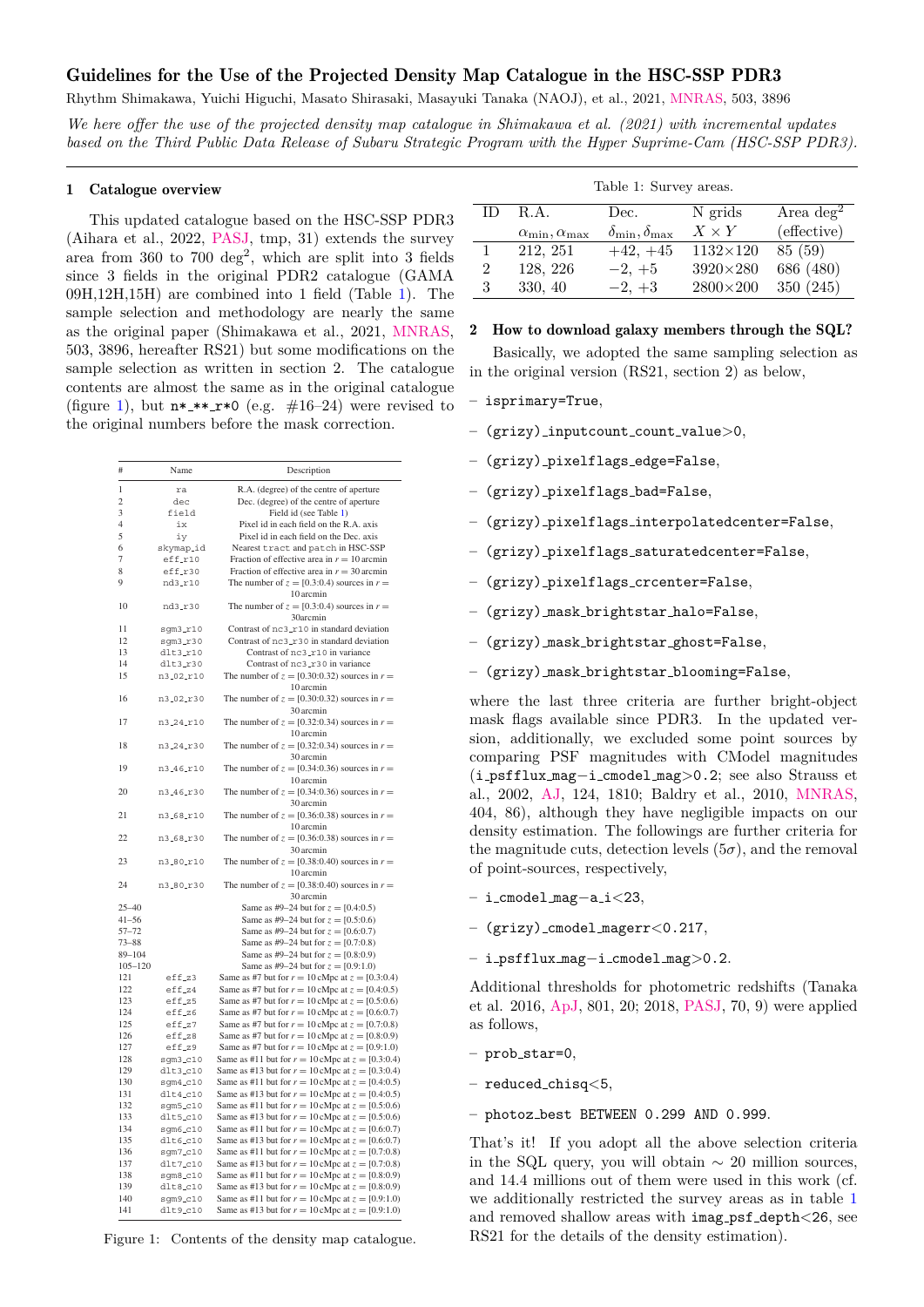# Guidelines for the Use of the Projected Density Map Catalogue in the HSC-SSP PDR3

Rhythm Shimakawa, Yuichi Higuchi, Masato Shirasaki, Masayuki Tanaka (NAOJ), et al., 2021, [MNRAS,](https://ui.adsabs.harvard.edu/abs/2021MNRAS.503.3896S) 503, 3896

*We here offer the use of the projected density map catalogue in Shimakawa et al. (2021) with incremental updates based on the Third Public Data Release of Subaru Strategic Program with the Hyper Suprime-Cam (HSC-SSP PDR3).*

### 1 Catalogue overview

This updated catalogue based on the HSC-SSP PDR3 (Aihara et al., 2022, [PASJ,](https://ui.adsabs.harvard.edu/abs/2022PASJ..tmp...12A) tmp, 31) extends the survey area from  $360$  to  $700 \text{ deg}^2$ , which are split into 3 fields since 3 fields in the original PDR2 catalogue (GAMA 09H,12H,15H) are combined into 1 field (Table [1\)](#page-0-0). The sample selection and methodology are nearly the same as the original paper (Shimakawa et al., 2021, [MNRAS,](https://ui.adsabs.harvard.edu/abs/2021MNRAS.503.3896S) 503, 3896, hereafter RS21) but some modifications on the sample selection as written in section 2. The catalogue contents are almost the same as in the original catalogue (figure [1\)](#page-0-1), but  $n*$   $**$   $r*0$  (e.g.  $\#16-24$ ) were revised to the original numbers before the mask correction.

| #           | Name<br>Description        |                                                                                                              |
|-------------|----------------------------|--------------------------------------------------------------------------------------------------------------|
| 1           | ra                         | R.A. (degree) of the centre of aperture                                                                      |
| 2           | dec                        | Dec. (degree) of the centre of aperture                                                                      |
| 3           | field                      | Field id (see Table 1)                                                                                       |
| 4           | ix                         | Pixel id in each field on the R.A. axis                                                                      |
| 5           | iy                         | Pixel id in each field on the Dec. axis                                                                      |
| 6           | skymap_id                  | Nearest tract and patch in HSC-SSP                                                                           |
| 7           | eff_r10                    | Fraction of effective area in $r = 10$ arcmin                                                                |
| 8           | eff_r30                    | Fraction of effective area in $r = 30$ arcmin                                                                |
| 9           | nd3_r10                    | The number of $z = [0.3:0.4)$ sources in $r =$<br>10 arcmin                                                  |
| 10          | nd3_r30                    | The number of $z = [0.3:0.4)$ sources in $r =$<br>30arcmin                                                   |
| 11          | $s$ qm $3$ _ $r10$         | Contrast of nc3_r10 in standard deviation                                                                    |
| 12          | $sgm3_r30$                 | Contrast of nc3_r30 in standard deviation                                                                    |
| 13          | $dlt3_r10$                 | Contrast of nc3_r10 in variance                                                                              |
| 14          | $dlt3_r30$                 | Contrast of nc3_r30 in variance                                                                              |
| 15          | n3_02_r10                  | The number of $z = [0.30:0.32)$ sources in $r =$<br>10 arcmin                                                |
| 16          | n3_02_r30                  | The number of $z = [0.30:0.32)$ sources in $r =$<br>30 arcmin                                                |
| 17          | n3_24_r10                  | The number of $z = [0.32:0.34)$ sources in $r =$<br>10 arcmin                                                |
| 18          | n3_24_r30                  | The number of $z = [0.32:0.34)$ sources in $r =$<br>30 arcmin                                                |
| 19          | n3_46_r10                  | The number of $z = [0.34:0.36)$ sources in $r =$<br>10 arcmin                                                |
| 20          | n3_46_r30                  | The number of $z = [0.34:0.36)$ sources in $r =$                                                             |
| 21          | n3_68_r10                  | 30 arcmin<br>The number of $z = [0.36:0.38)$ sources in $r =$                                                |
| 22          | n3_68_r30                  | 10 arcmin<br>The number of $z = [0.36:0.38)$ sources in $r =$                                                |
| 23          | n3_80_r10                  | 30 arcmin<br>The number of $z = [0.38:0.40)$ sources in $r =$                                                |
| 24          | n3_80_r30                  | 10 arcmin<br>The number of $z = [0.38:0.40)$ sources in $r =$<br>30 arcmin                                   |
| $25 - 40$   |                            | Same as #9-24 but for $z = [0.4:0.5)$                                                                        |
| $41 - 56$   |                            | Same as #9-24 but for $z = [0.5:0.6)$                                                                        |
| $57 - 72$   |                            | Same as #9–24 but for $z = [0.6:0.7)$                                                                        |
| $73 - 88$   |                            | Same as #9–24 but for $z = [0.7:0.8)$                                                                        |
| $89 - 104$  |                            | Same as #9-24 but for $z = [0.8:0.9)$                                                                        |
| $105 - 120$ |                            | Same as #9–24 but for $z = [0.9:1.0)$                                                                        |
| 121         | eff <sub>-</sub> z3        | Same as #7 but for $r = 10$ cMpc at $z = [0.3:0.4)$                                                          |
| 122         | $eff_24$                   | Same as #7 but for $r = 10$ cMpc at $z = [0.4:0.5)$                                                          |
| 123         | $eff_z5$                   | Same as #7 but for $r = 10$ cMpc at $z = [0.5:0.6)$                                                          |
| 124         | $eff_zz6$                  | Same as #7 but for $r = 10$ cMpc at $z = [0.6:0.7)$                                                          |
| 125         | eff <sub>-</sub> z7        | Same as #7 but for $r = 10$ cMpc at $z = [0.7:0.8)$                                                          |
| 126         | $eff_zz8$                  | Same as #7 but for $r = 10$ cMpc at $z = [0.8:0.9)$                                                          |
| 127         | $eff_z29$                  | Same as #7 but for $r = 10$ cMpc at $z = [0.9:1.0)$                                                          |
| 128         | $sgm3_c210$                | Same as #11 but for $r = 10$ cMpc at $z = [0.3:0.4)$                                                         |
| 129         | $dlt3_c10$                 | Same as #13 but for $r = 10$ cMpc at $z = [0.3:0.4)$                                                         |
| 130         | $sqm4_c10$                 | Same as #11 but for $r = 10$ cMpc at $z = [0.4:0.5)$                                                         |
| 131         | $dlt4_c$ 10                | Same as #13 but for $r = 10$ cMpc at $z = [0.4:0.5)$                                                         |
| 132         | $sgm5_c10$                 | Same as #11 but for $r = 10$ cMpc at $z = [0.5:0.6)$                                                         |
| 133         | $dlt5_c10$                 | Same as #13 but for $r = 10$ cMpc at $z = [0.5:0.6)$                                                         |
| 134         | $s$ qm $6$ <sub>-C10</sub> | Same as #11 but for $r = 10$ cMpc at $z = [0.6:0.7)$                                                         |
| 135         | $dlt6_c10$                 | Same as #13 but for $r = 10$ cMpc at $z = [0.6:0.7)$                                                         |
| 136         | sgm7_c10                   | Same as #11 but for $r = 10$ cMpc at $z = [0.7:0.8)$                                                         |
| 137         | $dlt7_c10$                 | Same as #13 but for $r = 10$ cMpc at $z = [0.7:0.8)$                                                         |
| 138         | $sgm8_cc10$                | Same as #11 but for $r = 10$ cMpc at $z = [0.8:0.9)$                                                         |
| 139         | $d$ lt8_c10                | Same as #13 but for $r = 10$ cMpc at $z = [0.8:0.9)$                                                         |
| 140<br>141  | $sgm9_cc10$<br>dlt9.c10    | Same as #11 but for $r = 10$ cMpc at $z = [0.9:1.0)$<br>Same as #13 but for $r = 10$ cMpc at $z = [0.9:1.0)$ |

<span id="page-0-1"></span>Figure 1: Contents of the density map catalogue.

<span id="page-0-0"></span>

|  |  | Table 1: Survey areas |  |
|--|--|-----------------------|--|
|--|--|-----------------------|--|

| ID.            | R.A.                           | Dec.                           | N grids         | Area $\text{deg}^2$ |
|----------------|--------------------------------|--------------------------------|-----------------|---------------------|
|                | $\alpha_{\min}, \alpha_{\max}$ | $\delta_{\min}, \delta_{\max}$ | $X \times Y$    | (effective)         |
|                | 212, 251                       | $+42, +45$                     | $1132\times120$ | 85 (59)             |
| $\overline{2}$ | 128, 226                       | $-2, +5$                       | $3920\times280$ | 686 (480)           |
| 3              | 330, 40                        | $-2, +3$                       | $2800\times200$ | 350 (245)           |

#### 2 How to download galaxy members through the SQL?

Basically, we adopted the same sampling selection as in the original version (RS21, section 2) as below,

- isprimary=True,
- *Colossal over- & underdense structures at z < 1* 3911 (grizy) inputcount count value>0,
	- (grizy) pixelflags edge=False,
	- (grizy) pixelflags bad=False,
	- (grizy) pixelflags interpolatedcenter=False,
	- (grizy) pixelflags saturatedcenter=False,
	- (grizy) pixelflags crcenter=False,
	- (grizy) mask brightstar halo=False,
	- (grizy) mask brightstar ghost=False,
	- (grizy) mask brightstar blooming=False,

where the last three criteria are further bright-object mask flags available since PDR3. In the updated ver- $\mathbf{R} = \mathbf{R} \mathbf{R}$ comparing PSF magnitudes with CModel magnitudes (i\_psfflux\_mag-i\_cmodel\_mag>0.2; see also Strauss et al., 2002, [AJ,](https://ui.adsabs.harvard.edu/abs/2002AJ....124.1810S) 124, 1810; Baldry et al., 2010, [MNRAS,](https://ui.adsabs.harvard.edu/abs/2010MNRAS.404...86B)  $f(0, 4, 0, 0, 0)$  in the cosmological simulation. When  $f(x)$ 404, 86), although they have negligible impacts on our density estimation. The followings are further criteria for  $\epsilon$  the megnitude enta detection levels. the magnitude cuts, detection levels  $(5\sigma)$ , and the removal of point-sources, respectively, downloaded from https://academic.oup.com/mnras/article/503/3896/6169724 by National AstronomicalObservatory, Japan user on 03 April 2021 by National Astronomical Astronomical Astronomical Astronomical Astronomical April 20 sion, additionally, we excluded some point sources by

- $-$  i cmodel mag $-$ a i $<$ 23 − i\_cmodel\_mag-a\_i<23,
- $r = ($ *orizu*) cmodel magerr  $\epsilon$  0.317 to add irrelevant sources from distant foreground (*z* = 0.3–0.5) and – (grizy) cmodel magerr<0.217,
- background (*z* = 0.8–1) redshifts into the sample. First, we convolve − i\_psfflux\_mag-i\_cmodel\_mag>0.2.

Additional thresholds for photometric redshifts (Tanaka  $1.0016 + 7.001.00$ . 2018,  $\mathbf{D}^{16}$ et al. 2016, [ApJ,](https://ui.adsabs.harvard.edu/abs/2015ApJ...801...20T) 801, 20; 2018, [PASJ,](https://ui.adsabs.harvard.edu/abs/2018PASJ...70S...9T) 70, 9) were applied as follows,

- $-$  prob star= $0$ . – prob\_star=0,
- $-$  reduced\_chisq<5,
- $-$  photoz best BETWEEN 0.299 AND 0.999. estimation: photometric redshift errors of galaxies are not random

 $\theta$  That's it If you adopt all the all That's it! If you adopt all the above selection criteria in the SQL query, you will obtain ∼ 20 million sources, and 14.4 millions out of them were used in this work (cf. photometric redshift errors show a broad agreement with the density we additionally restricted the survey areas as in table [1](#page-0-0) and removed shallow areas with imag\_psf\_depth<26, see RS21 for the details of the density estimation).